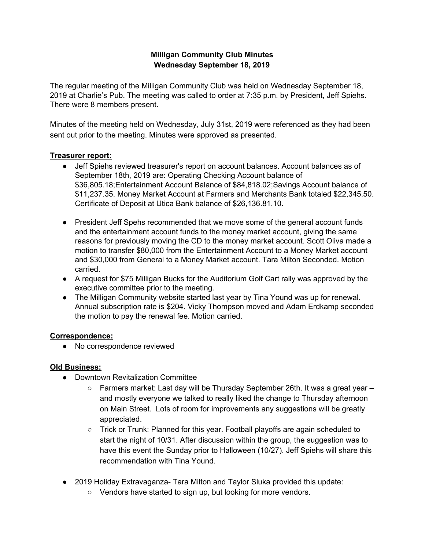## **Milligan Community Club Minutes Wednesday September 18, 2019**

The regular meeting of the Milligan Community Club was held on Wednesday September 18, 2019 at Charlie's Pub. The meeting was called to order at 7:35 p.m. by President, Jeff Spiehs. There were 8 members present.

Minutes of the meeting held on Wednesday, July 31st, 2019 were referenced as they had been sent out prior to the meeting. Minutes were approved as presented.

#### **Treasurer report:**

- Jeff Spiehs reviewed treasurer's report on account balances. Account balances as of September 18th, 2019 are: Operating Checking Account balance of \$36,805.18;Entertainment Account Balance of \$84,818.02;Savings Account balance of \$11,237.35. Money Market Account at Farmers and Merchants Bank totaled \$22,345.50. Certificate of Deposit at Utica Bank balance of \$26,136.81.10.
- President Jeff Spehs recommended that we move some of the general account funds and the entertainment account funds to the money market account, giving the same reasons for previously moving the CD to the money market account. Scott Oliva made a motion to transfer \$80,000 from the Entertainment Account to a Money Market account and \$30,000 from General to a Money Market account. Tara Milton Seconded. Motion carried.
- A request for \$75 Milligan Bucks for the Auditorium Golf Cart rally was approved by the executive committee prior to the meeting.
- The Milligan Community website started last year by Tina Yound was up for renewal. Annual subscription rate is \$204. Vicky Thompson moved and Adam Erdkamp seconded the motion to pay the renewal fee. Motion carried.

#### **Correspondence:**

• No correspondence reviewed

### **Old Business:**

- Downtown Revitalization Committee
	- $\circ$  Farmers market: Last day will be Thursday September 26th. It was a great year  $$ and mostly everyone we talked to really liked the change to Thursday afternoon on Main Street. Lots of room for improvements any suggestions will be greatly appreciated.
	- Trick or Trunk: Planned for this year. Football playoffs are again scheduled to start the night of 10/31. After discussion within the group, the suggestion was to have this event the Sunday prior to Halloween (10/27). Jeff Spiehs will share this recommendation with Tina Yound.
- 2019 Holiday Extravaganza- Tara Milton and Taylor Sluka provided this update:
	- Vendors have started to sign up, but looking for more vendors.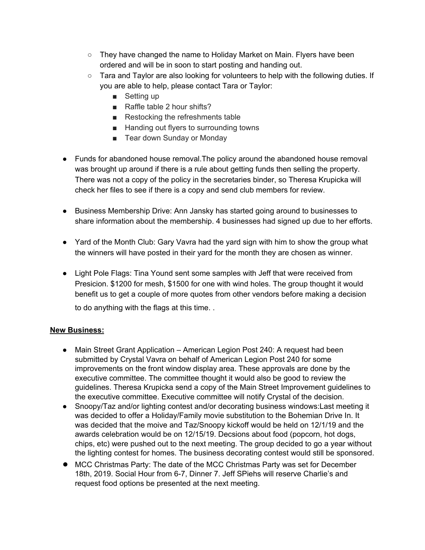- $\circ$  They have changed the name to Holiday Market on Main. Flyers have been ordered and will be in soon to start posting and handing out.
- Tara and Taylor are also looking for volunteers to help with the following duties. If you are able to help, please contact Tara or Taylor:
	- Setting up
	- Raffle table 2 hour shifts?
	- Restocking the refreshments table
	- Handing out flyers to surrounding towns
	- Tear down Sunday or Monday
- Funds for abandoned house removal.The policy around the abandoned house removal was brought up around if there is a rule about getting funds then selling the property. There was not a copy of the policy in the secretaries binder, so Theresa Krupicka will check her files to see if there is a copy and send club members for review.
- Business Membership Drive: Ann Jansky has started going around to businesses to share information about the membership. 4 businesses had signed up due to her efforts.
- Yard of the Month Club: Gary Vavra had the yard sign with him to show the group what the winners will have posted in their yard for the month they are chosen as winner.
- Light Pole Flags: Tina Yound sent some samples with Jeff that were received from Presicion. \$1200 for mesh, \$1500 for one with wind holes. The group thought it would benefit us to get a couple of more quotes from other vendors before making a decision to do anything with the flags at this time. .

# **New Business:**

- Main Street Grant Application American Legion Post 240: A request had been submitted by Crystal Vavra on behalf of American Legion Post 240 for some improvements on the front window display area. These approvals are done by the executive committee. The committee thought it would also be good to review the guidelines. Theresa Krupicka send a copy of the Main Street Improvement guidelines to the executive committee. Executive committee will notify Crystal of the decision.
- Snoopy/Taz and/or lighting contest and/or decorating business windows:Last meeting it was decided to offer a Holiday/Family movie substitution to the Bohemian Drive In. It was decided that the moive and Taz/Snoopy kickoff would be held on 12/1/19 and the awards celebration would be on 12/15/19. Decsions about food (popcorn, hot dogs, chips, etc) were pushed out to the next meeting. The group decided to go a year without the lighting contest for homes. The business decorating contest would still be sponsored.
- MCC Christmas Party: The date of the MCC Christmas Party was set for December 18th, 2019. Social Hour from 6-7, Dinner 7. Jeff SPiehs will reserve Charlie's and request food options be presented at the next meeting.